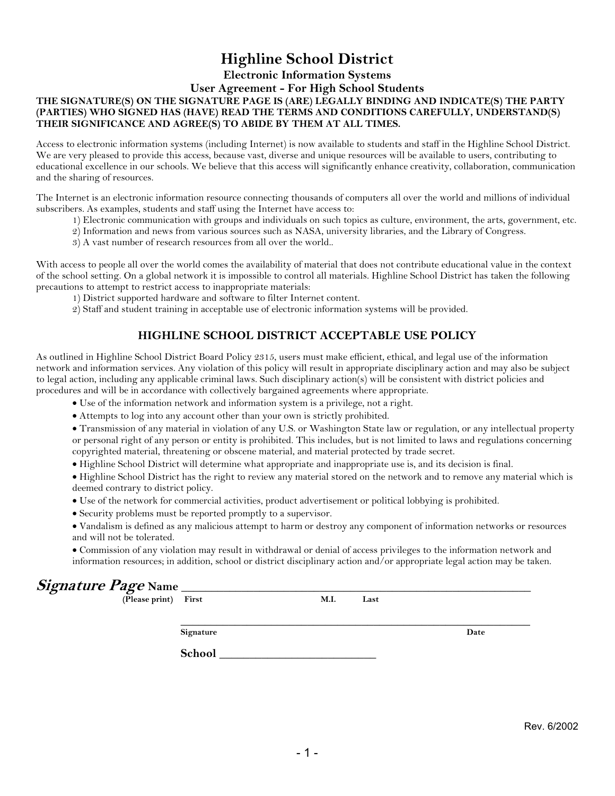# **Highline School District**

**Electronic Information Systems** 

#### **User Agreement - For High School Students THE SIGNATURE(S) ON THE SIGNATURE PAGE IS (ARE) LEGALLY BINDING AND INDICATE(S) THE PARTY (PARTIES) WHO SIGNED HAS (HAVE) READ THE TERMS AND CONDITIONS CAREFULLY, UNDERSTAND(S) THEIR SIGNIFICANCE AND AGREE(S) TO ABIDE BY THEM AT ALL TIMES.**

Access to electronic information systems (including Internet) is now available to students and staff in the Highline School District. We are very pleased to provide this access, because vast, diverse and unique resources will be available to users, contributing to educational excellence in our schools. We believe that this access will significantly enhance creativity, collaboration, communication and the sharing of resources.

The Internet is an electronic information resource connecting thousands of computers all over the world and millions of individual subscribers. As examples, students and staff using the Internet have access to:

- 1) Electronic communication with groups and individuals on such topics as culture, environment, the arts, government, etc.
- 2) Information and news from various sources such as NASA, university libraries, and the Library of Congress.
- 3) A vast number of research resources from all over the world..

With access to people all over the world comes the availability of material that does not contribute educational value in the context of the school setting. On a global network it is impossible to control all materials. Highline School District has taken the following precautions to attempt to restrict access to inappropriate materials:

- 1) District supported hardware and software to filter Internet content.
- 2) Staff and student training in acceptable use of electronic information systems will be provided.

#### **HIGHLINE SCHOOL DISTRICT ACCEPTABLE USE POLICY**

As outlined in Highline School District Board Policy 2315, users must make efficient, ethical, and legal use of the information network and information services. Any violation of this policy will result in appropriate disciplinary action and may also be subject to legal action, including any applicable criminal laws. Such disciplinary action(s) will be consistent with district policies and procedures and will be in accordance with collectively bargained agreements where appropriate.

- Use of the information network and information system is a privilege, not a right.
- Attempts to log into any account other than your own is strictly prohibited.

 $School$   $\qquad \qquad$ 

- Transmission of any material in violation of any U.S. or Washington State law or regulation, or any intellectual property or personal right of any person or entity is prohibited. This includes, but is not limited to laws and regulations concerning copyrighted material, threatening or obscene material, and material protected by trade secret.
- Highline School District will determine what appropriate and inappropriate use is, and its decision is final.

• Highline School District has the right to review any material stored on the network and to remove any material which is deemed contrary to district policy.

- Use of the network for commercial activities, product advertisement or political lobbying is prohibited.
- Security problems must be reported promptly to a supervisor.
- Vandalism is defined as any malicious attempt to harm or destroy any component of information networks or resources and will not be tolerated.

• Commission of any violation may result in withdrawal or denial of access privileges to the information network and information resources; in addition, school or district disciplinary action and/or appropriate legal action may be taken.

# **Signature Page Name \_\_\_\_\_\_\_\_\_\_\_\_\_\_\_\_\_\_\_\_\_\_\_\_\_\_\_\_\_\_\_\_\_\_\_\_\_\_\_\_\_\_\_\_\_\_\_\_\_\_\_\_\_\_\_\_\_\_**

 **(Please print) First M.I. Last** 

**Signature** Date Date

Rev. 6/2002